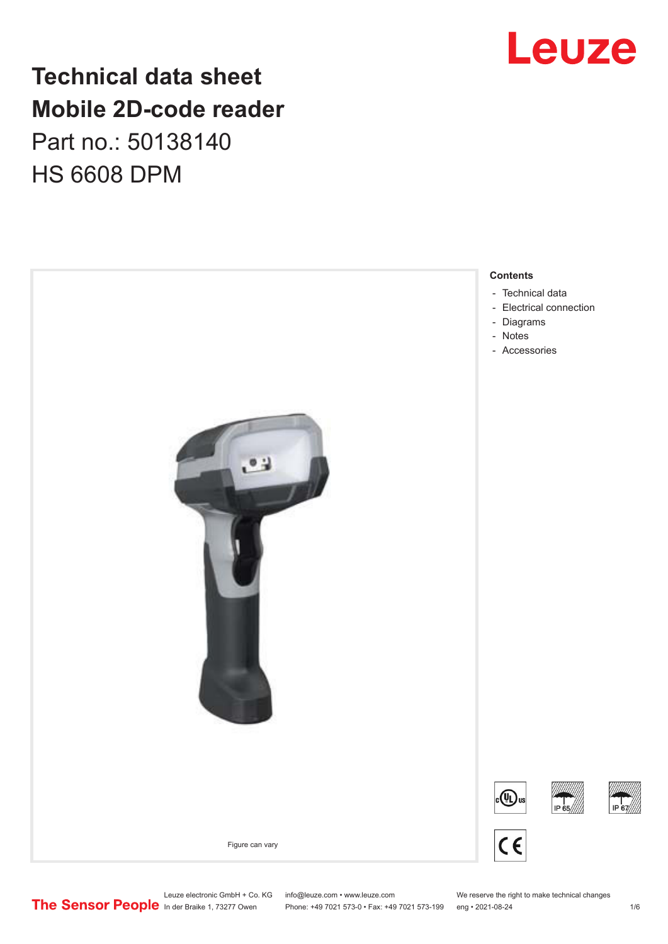## **Technical data sheet Mobile 2D-code reader** Part no.: 50138140 HS 6608 DPM



## Leuze

Leuze electronic GmbH + Co. KG info@leuze.com • www.leuze.com We reserve the right to make technical changes<br>
The Sensor People in der Braike 1, 73277 Owen Phone: +49 7021 573-0 • Fax: +49 7021 573-199 eng • 2021-08-24

Phone: +49 7021 573-0 • Fax: +49 7021 573-199 eng • 2021-08-24 1 metal is a man at the 1/6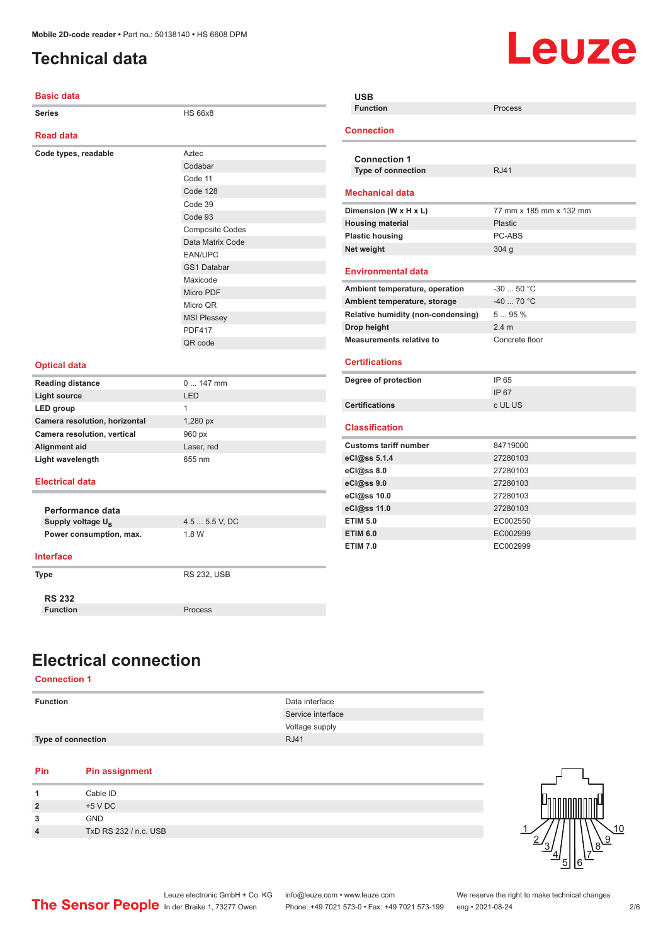## <span id="page-1-0"></span>**Technical data**

# Leuze

| <b>Basic data</b>             |                        | <b>USB</b>                         |                         |
|-------------------------------|------------------------|------------------------------------|-------------------------|
| <b>Series</b>                 | <b>HS 66x8</b>         | <b>Function</b>                    | Process                 |
|                               |                        |                                    |                         |
| <b>Read data</b>              |                        | <b>Connection</b>                  |                         |
| Code types, readable          | Aztec                  |                                    |                         |
|                               | Codabar                | <b>Connection 1</b>                |                         |
|                               | Code 11                | Type of connection                 | <b>RJ41</b>             |
|                               | Code 128               | <b>Mechanical data</b>             |                         |
|                               | Code 39                |                                    |                         |
|                               | Code 93                | Dimension (W x H x L)              | 77 mm x 185 mm x 132 mm |
|                               | <b>Composite Codes</b> | <b>Housing material</b>            | Plastic                 |
|                               | Data Matrix Code       | <b>Plastic housing</b>             | PC-ABS                  |
|                               | EAN/UPC                | Net weight                         | 304 <sub>g</sub>        |
|                               | GS1 Databar            | <b>Environmental data</b>          |                         |
|                               | Maxicode               |                                    |                         |
|                               | Micro PDF              | Ambient temperature, operation     | $-3050 °C$              |
|                               | Micro QR               | Ambient temperature, storage       | $-40$ 70 °C             |
|                               | <b>MSI Plessey</b>     | Relative humidity (non-condensing) | 595%                    |
|                               | <b>PDF417</b>          | Drop height                        | 2.4 <sub>m</sub>        |
|                               | QR code                | <b>Measurements relative to</b>    | Concrete floor          |
|                               |                        |                                    |                         |
| <b>Optical data</b>           |                        | <b>Certifications</b>              |                         |
| <b>Reading distance</b>       | $0147$ mm              | Degree of protection               | IP 65                   |
| <b>Light source</b>           | <b>LED</b>             |                                    | IP 67                   |
| LED group                     | $\mathbf{1}$           | <b>Certifications</b>              | c UL US                 |
| Camera resolution, horizontal | 1,280 px               | <b>Classification</b>              |                         |
| Camera resolution, vertical   | 960 px                 |                                    |                         |
| Alignment aid                 | Laser, red             | <b>Customs tariff number</b>       | 84719000                |
| Light wavelength              | 655 nm                 | eCl@ss 5.1.4                       | 27280103                |
|                               |                        | eCl@ss 8.0                         | 27280103                |
| <b>Electrical data</b>        |                        | eCl@ss 9.0                         | 27280103                |
|                               |                        | eCl@ss 10.0                        | 27280103                |
| Performance data              |                        | eCl@ss 11.0                        | 27280103                |
| Supply voltage U <sub>B</sub> | 4.5  5.5 V, DC         | <b>ETIM 5.0</b>                    | EC002550                |
| Power consumption, max.       | 1.8 W                  | <b>ETIM 6.0</b>                    | EC002999                |
|                               |                        | <b>ETIM 7.0</b>                    | EC002999                |
| <b>Interface</b>              |                        |                                    |                         |
| <b>Type</b>                   | <b>RS 232, USB</b>     |                                    |                         |
|                               |                        |                                    |                         |
| <b>RS 232</b>                 |                        |                                    |                         |
| <b>Function</b>               | Process                |                                    |                         |
|                               |                        |                                    |                         |

## **Electrical connection**

#### **Connection 1**

| <b>Function</b>           | Data interface    |
|---------------------------|-------------------|
|                           | Service interface |
|                           | Voltage supply    |
| <b>Type of connection</b> | <b>RJ41</b>       |
|                           |                   |

#### **Pin Pin assignment**

|            | Cable ID              |
|------------|-----------------------|
|            | $+5$ V DC             |
| 2          | GND                   |
| $\sqrt{ }$ | TxD RS 232 / n.c. USB |

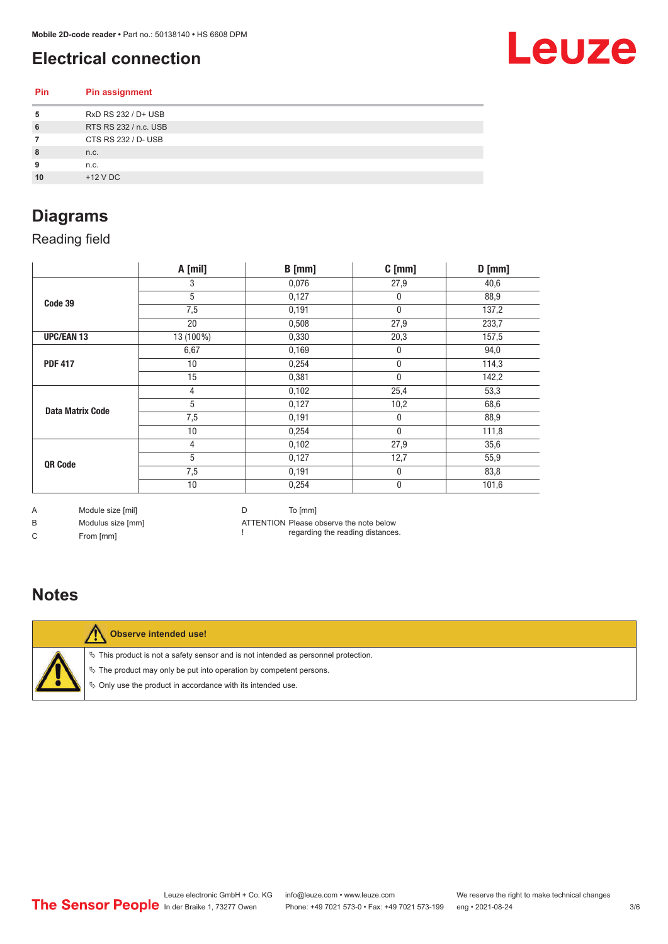## <span id="page-2-0"></span>**Electrical connection**

Leuze

| Pin | <b>Pin assignment</b> |
|-----|-----------------------|
| 5   | RxD RS 232 / D+ USB   |
| 6   | RTS RS 232 / n.c. USB |
|     | CTS RS 232 / D- USB   |
| 8   | n.c.                  |
| 9   | n.c.                  |
| 10  | $+12$ V DC            |
|     |                       |

## **Diagrams**

Reading field

|                         | A [mil]   | $B$ [mm] | $C$ [mm]     | $D$ [mm] |
|-------------------------|-----------|----------|--------------|----------|
|                         | 3         | 0,076    | 27,9         | 40,6     |
| Code 39                 | 5         | 0,127    | $\mathbf{0}$ | 88,9     |
|                         | 7,5       | 0,191    | $\mathbf 0$  | 137,2    |
|                         | 20        | 0,508    | 27,9         | 233,7    |
| <b>UPC/EAN 13</b>       | 13 (100%) | 0,330    | 20,3         | 157,5    |
|                         | 6,67      | 0,169    | $\mathbf{0}$ | 94,0     |
| <b>PDF 417</b>          | 10        | 0,254    | $\pmb{0}$    | 114,3    |
|                         | 15        | 0,381    | $\mathbf 0$  | 142,2    |
|                         | 4         | 0,102    | 25,4         | 53,3     |
| <b>Data Matrix Code</b> | 5         | 0,127    | 10,2         | 68,6     |
|                         | 7,5       | 0,191    | 0            | 88,9     |
|                         | 10        | 0,254    | $\mathbf 0$  | 111,8    |
|                         | 4         | 0,102    | 27,9         | 35,6     |
| QR Code                 | 5         | 0,127    | 12,7         | 55,9     |
|                         | 7,5       | 0,191    | 0            | 83,8     |
|                         | 10        | 0,254    | 0            | 101,6    |

A Module size [mil]

B Modulus size [mm]

D To [mm]

C From [mm]

ATTENTION Please observe the note below

! regarding the reading distances.

## **Notes**



**Observe intended use!**

 $\%$  This product is not a safety sensor and is not intended as personnel protection.

 $\%$  The product may only be put into operation by competent persons.

 $\%$  Only use the product in accordance with its intended use.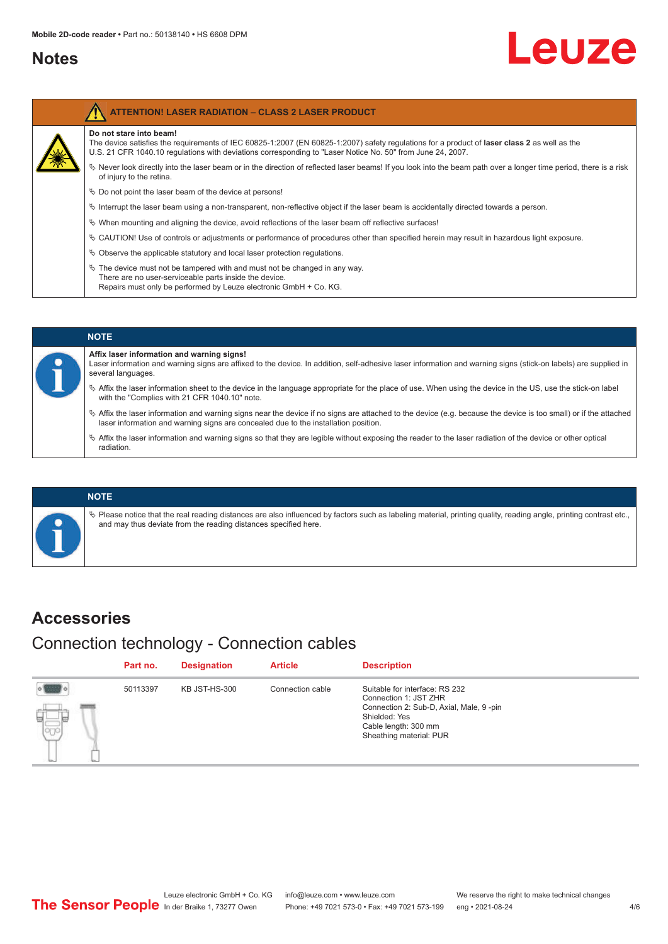## <span id="page-3-0"></span>**Notes**

Ź

# Leuze

| <b>ATTENTION! LASER RADIATION - CLASS 2 LASER PRODUCT</b>                                                                                                                                                                                                                                    |
|----------------------------------------------------------------------------------------------------------------------------------------------------------------------------------------------------------------------------------------------------------------------------------------------|
| Do not stare into beam!<br>The device satisfies the requirements of IEC 60825-1:2007 (EN 60825-1:2007) safety requiations for a product of <b>laser class 2</b> as well as the<br>U.S. 21 CFR 1040.10 regulations with deviations corresponding to "Laser Notice No. 50" from June 24, 2007. |
| $\&$ Never look directly into the laser beam or in the direction of reflected laser beams! If you look into the beam path over a longer time period, there is a risk<br>of injury to the retina.                                                                                             |
| $\%$ Do not point the laser beam of the device at persons!                                                                                                                                                                                                                                   |
| $\%$ Interrupt the laser beam using a non-transparent, non-reflective object if the laser beam is accidentally directed towards a person.                                                                                                                                                    |
| $\%$ When mounting and aligning the device, avoid reflections of the laser beam off reflective surfaces!                                                                                                                                                                                     |
| $\&$ CAUTION! Use of controls or adjustments or performance of procedures other than specified herein may result in hazardous light exposure.                                                                                                                                                |
| $\&$ Observe the applicable statutory and local laser protection requiations.                                                                                                                                                                                                                |
| $\%$ The device must not be tampered with and must not be changed in any way.<br>There are no user-serviceable parts inside the device.<br>Repairs must only be performed by Leuze electronic GmbH + Co. KG.                                                                                 |

#### **NOTE Affix laser information and warning signs!** Laser information and warning signs are affixed to the device. In addition, self-adhesive laser information and warning signs (stick-on labels) are supplied in several languages. ª Affix the laser information sheet to the device in the language appropriate for the place of use. When using the device in the US, use the stick-on label with the "Complies with 21 CFR 1040.10" note. ª Affix the laser information and warning signs near the device if no signs are attached to the device (e.g. because the device is too small) or if the attached laser information and warning signs are concealed due to the installation position.  $\%$  Affix the laser information and warning signs so that they are legible without exposing the reader to the laser radiation of the device or other optical radiation.

#### **NOTE**

 $\%$  Please notice that the real reading distances are also influenced by factors such as labeling material, printing quality, reading angle, printing contrast etc., and may thus deviate from the reading distances specified here.

## **Accessories**

## Connection technology - Connection cables

|              | Part no. | <b>Designation</b> | <b>Article</b>   | <b>Description</b>                                                                                                                                                     |
|--------------|----------|--------------------|------------------|------------------------------------------------------------------------------------------------------------------------------------------------------------------------|
| $\mathbb{E}$ | 50113397 | KB JST-HS-300      | Connection cable | Suitable for interface: RS 232<br>Connection 1: JST ZHR<br>Connection 2: Sub-D, Axial, Male, 9-pin<br>Shielded: Yes<br>Cable length: 300 mm<br>Sheathing material: PUR |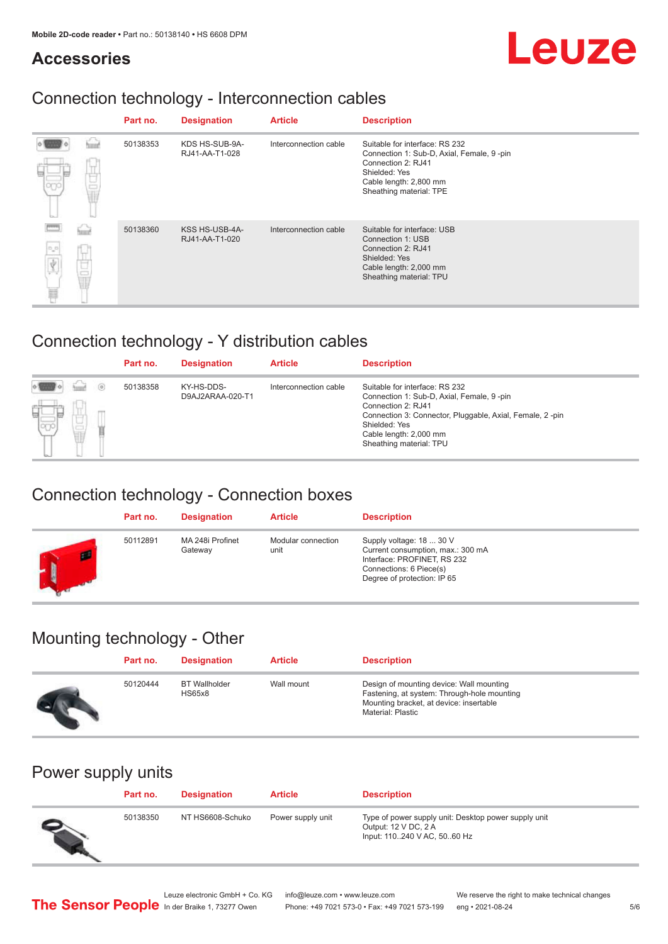## **Accessories**

# Leuze

## Connection technology - Interconnection cables

|             | Part no. | <b>Designation</b>               | <b>Article</b>        | <b>Description</b>                                                                                                                                                       |
|-------------|----------|----------------------------------|-----------------------|--------------------------------------------------------------------------------------------------------------------------------------------------------------------------|
|             | 50138353 | KDS HS-SUB-9A-<br>RJ41-AA-T1-028 | Interconnection cable | Suitable for interface: RS 232<br>Connection 1: Sub-D, Axial, Female, 9 -pin<br>Connection 2: RJ41<br>Shielded: Yes<br>Cable length: 2,800 mm<br>Sheathing material: TPE |
| ú.<br>$n_p$ | 50138360 | KSS HS-USB-4A-<br>RJ41-AA-T1-020 | Interconnection cable | Suitable for interface: USB<br>Connection 1: USB<br>Connection 2: RJ41<br>Shielded: Yes<br>Cable length: 2,000 mm<br>Sheathing material: TPU                             |

## Connection technology - Y distribution cables

|                      | Part no. | <b>Designation</b>             | <b>Article</b>        | <b>Description</b>                                                                                                                                                                                                                  |
|----------------------|----------|--------------------------------|-----------------------|-------------------------------------------------------------------------------------------------------------------------------------------------------------------------------------------------------------------------------------|
| $\circ$<br>ы<br>lo0o | 50138358 | KY-HS-DDS-<br>D9AJ2ARAA-020-T1 | Interconnection cable | Suitable for interface: RS 232<br>Connection 1: Sub-D, Axial, Female, 9-pin<br>Connection 2: RJ41<br>Connection 3: Connector, Pluggable, Axial, Female, 2-pin<br>Shielded: Yes<br>Cable length: 2,000 mm<br>Sheathing material: TPU |

## Connection technology - Connection boxes

|   | Part no. | <b>Designation</b>          | <b>Article</b>             | <b>Description</b>                                                                                                                                     |
|---|----------|-----------------------------|----------------------------|--------------------------------------------------------------------------------------------------------------------------------------------------------|
| ш | 50112891 | MA 248i Profinet<br>Gateway | Modular connection<br>unit | Supply voltage: 18  30 V<br>Current consumption, max.: 300 mA<br>Interface: PROFINET, RS 232<br>Connections: 6 Piece(s)<br>Degree of protection: IP 65 |

## Mounting technology - Other

| Part no. | <b>Designation</b>                    | <b>Article</b> | <b>Description</b>                                                                                                                                             |
|----------|---------------------------------------|----------------|----------------------------------------------------------------------------------------------------------------------------------------------------------------|
| 50120444 | <b>BT</b> Wallholder<br><b>HS65x8</b> | Wall mount     | Design of mounting device: Wall mounting<br>Fastening, at system: Through-hole mounting<br>Mounting bracket, at device: insertable<br><b>Material: Plastic</b> |

## Power supply units

| Part no. | <b>Designation</b> | <b>Article</b>    | <b>Description</b>                                                                                          |
|----------|--------------------|-------------------|-------------------------------------------------------------------------------------------------------------|
| 50138350 | NT HS6608-Schuko   | Power supply unit | Type of power supply unit: Desktop power supply unit<br>Output: 12 V DC, 2 A<br>Input: 110240 V AC, 5060 Hz |